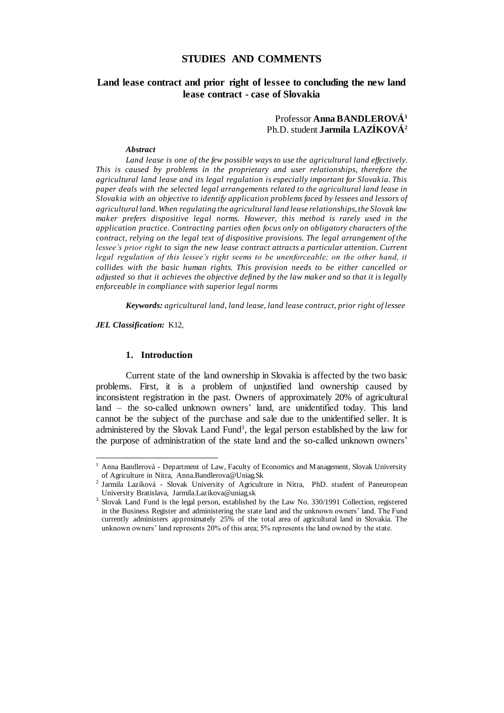# **STUDIES AND COMMENTS**

# **Land lease contract and prior right of lessee to concluding the new land lease contract - case of Slovakia**

## Professor **Anna BANDLEROVÁ<sup>1</sup>** Ph.D. student **Jarmila LAZÍKOVÁ<sup>2</sup>**

#### *Abstract*

*Land lease is one of the few possible ways to use the agricultural land effectively. This is caused by problems in the proprietary and user relationships, therefore the agricultural land lease and its legal regulation is especially important for Slovakia. This paper deals with the selected legal arrangements related to the agricultural land lease in Slovakia with an objective to identify application problems faced by lessees and lessors of agricultural land. When regulating the agricultural land lease relationships, the Slovak law*  maker prefers dispositive legal norms. However, this method is rarely used in the *application practice. Contracting parties often focus only on obligatory characters of the contract, relying on the legal text of dispositive provisions. The legal arrangement of the lessee's prior right to sign the new lease contract attracts a particular attention. Current legal regulation of this lessee's right seems to be unenforceable; on the other hand, it collides with the basic human rights. This provision needs to be either cancelled or adjusted so that it achieves the objective defined by the law maker and so that it is legally enforceable in compliance with superior legal norms*

*Keywords: agricultural land, land lease, land lease contract, prior right of lessee*

*JEL Classification:* K12,

 $\overline{a}$ 

#### **1. Introduction**

Current state of the land ownership in Slovakia is affected by the two basic problems. First, it is a problem of unjustified land ownership caused by inconsistent registration in the past. Owners of approximately 20% of agricultural land – the so-called unknown owners' land, are unidentified today. This land cannot be the subject of the purchase and sale due to the unidentified seller. It is administered by the Slovak Land Fund<sup>3</sup>, the legal person established by the law for the purpose of administration of the state land and the so-called unknown owners'

<sup>&</sup>lt;sup>1</sup> Anna Bandlerová - Department of Law, Faculty of Economics and Management, Slovak University of Agriculture in Nitra, Anna.Bandlerova@Uniag.Sk

<sup>2</sup> Jarmila Lazíková - Slovak University of Agriculture in Nitra, PhD. student of Paneuropean University Bratislava, Jarmila.Lazikova@uniag.sk

<sup>&</sup>lt;sup>3</sup> Slovak Land Fund is the legal person, established by the Law No. 330/1991 Collection, registered in the Business Register and administering the state land and the unknown owners' land. The Fund currently administers approximately 25% of the total area of agricultural land in Slovakia. The unknown owners' land represents 20% of this area; 5% represents the land owned by the state.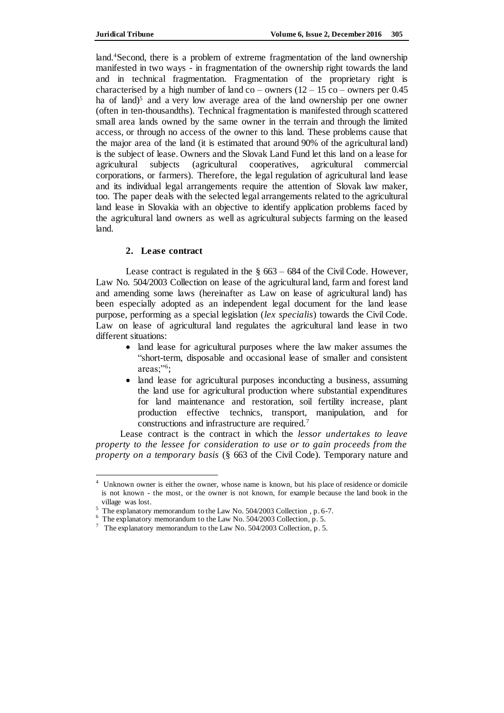land.<sup>4</sup>Second, there is a problem of extreme fragmentation of the land ownership manifested in two ways - in fragmentation of the ownership right towards the land and in technical fragmentation. Fragmentation of the proprietary right is characterised by a high number of land co – owners  $(12 - 15)$  co – owners per 0.45 ha of land)<sup>5</sup> and a very low average area of the land ownership per one owner (often in ten-thousandths). Technical fragmentation is manifested through scattered small area lands owned by the same owner in the terrain and through the limited access, or through no access of the owner to this land. These problems cause that the major area of the land (it is estimated that around 90% of the agricultural land) is the subject of lease. Owners and the Slovak Land Fund let this land on a lease for agricultural subjects (agricultural cooperatives, agricultural commercial corporations, or farmers). Therefore, the legal regulation of agricultural land lease and its individual legal arrangements require the attention of Slovak law maker, too. The paper deals with the selected legal arrangements related to the agricultural land lease in Slovakia with an objective to identify application problems faced by the agricultural land owners as well as agricultural subjects farming on the leased land.

### **2. Lease contract**

Lease contract is regulated in the  $\S$  663 – 684 of the Civil Code. However, Law No. 504/2003 Collection on lease of the agricultural land, farm and forest land and amending some laws (hereinafter as Law on lease of agricultural land) has been especially adopted as an independent legal document for the land lease purpose, performing as a special legislation (*lex specialis*) towards the Civil Code. Law on lease of agricultural land regulates the agricultural land lease in two different situations:

- land lease for agricultural purposes where the law maker assumes the "short-term, disposable and occasional lease of smaller and consistent areas;"<sup>6</sup> ;
- land lease for agricultural purposes inconducting a business, assuming the land use for agricultural production where substantial expenditures for land maintenance and restoration, soil fertility increase, plant production effective technics, transport, manipulation, and for constructions and infrastructure are required.<sup>7</sup>

Lease contract is the contract in which the *lessor undertakes to leave property to the lessee for consideration to use or to gain proceeds from the property on a temporary basis* (§ 663 of the Civil Code). Temporary nature and

 4 Unknown owner is either the owner, whose name is known, but his place of residence or domicile is not known - the most, or the owner is not known, for example because the land book in the village was lost.

<sup>&</sup>lt;sup>5</sup> The explanatory memorandum to the Law No. 504/2003 Collection, p. 6-7.

<sup>&</sup>lt;sup>6</sup> The explanatory memorandum to the Law No. 504/2003 Collection, p. 5.

<sup>&</sup>lt;sup>7</sup> The explanatory memorandum to the Law No. 504/2003 Collection, p. 5.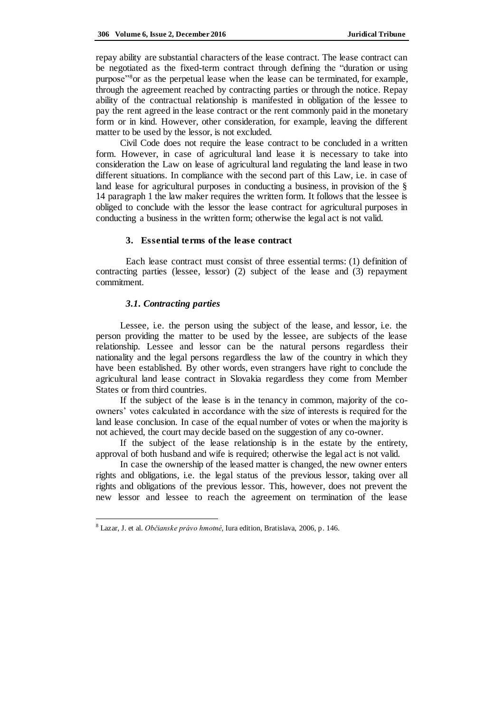repay ability are substantial characters of the lease contract. The lease contract can be negotiated as the fixed-term contract through defining the "duration or using purpose"<sup>8</sup>or as the perpetual lease when the lease can be terminated, for example, through the agreement reached by contracting parties or through the notice. Repay ability of the contractual relationship is manifested in obligation of the lessee to pay the rent agreed in the lease contract or the rent commonly paid in the monetary form or in kind. However, other consideration, for example, leaving the different matter to be used by the lessor, is not excluded.

Civil Code does not require the lease contract to be concluded in a written form. However, in case of agricultural land lease it is necessary to take into consideration the Law on lease of agricultural land regulating the land lease in two different situations. In compliance with the second part of this Law, i.e. in case of land lease for agricultural purposes in conducting a business, in provision of the § 14 paragraph 1 the law maker requires the written form. It follows that the lessee is obliged to conclude with the lessor the lease contract for agricultural purposes in conducting a business in the written form; otherwise the legal act is not valid.

#### **3. Essential terms of the lease contract**

Each lease contract must consist of three essential terms: (1) definition of contracting parties (lessee, lessor) (2) subject of the lease and (3) repayment commitment.

#### *3.1. Contracting parties*

 $\overline{a}$ 

Lessee, i.e. the person using the subject of the lease, and lessor, i.e. the person providing the matter to be used by the lessee, are subjects of the lease relationship. Lessee and lessor can be the natural persons regardless their nationality and the legal persons regardless the law of the country in which they have been established. By other words, even strangers have right to conclude the agricultural land lease contract in Slovakia regardless they come from Member States or from third countries.

If the subject of the lease is in the tenancy in common, majority of the coowners' votes calculated in accordance with the size of interests is required for the land lease conclusion. In case of the equal number of votes or when the majority is not achieved, the court may decide based on the suggestion of any co-owner.

If the subject of the lease relationship is in the estate by the entirety, approval of both husband and wife is required; otherwise the legal act is not valid.

In case the ownership of the leased matter is changed, the new owner enters rights and obligations, i.e. the legal status of the previous lessor, taking over all rights and obligations of the previous lessor. This, however, does not prevent the new lessor and lessee to reach the agreement on termination of the lease

<sup>8</sup> Lazar, J. et al. *Občianske právo hmotné*, Iura edition, Bratislava, 2006, p. 146.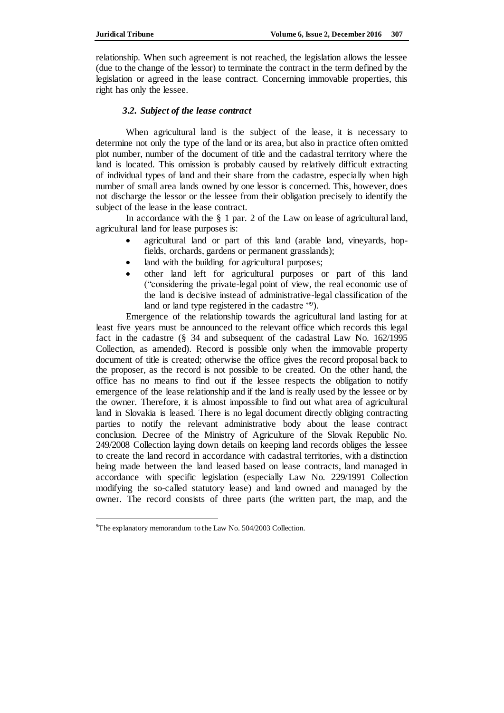relationship. When such agreement is not reached, the legislation allows the lessee (due to the change of the lessor) to terminate the contract in the term defined by the legislation or agreed in the lease contract. Concerning immovable properties, this right has only the lessee.

### *3.2. Subject of the lease contract*

When agricultural land is the subject of the lease, it is necessary to determine not only the type of the land or its area, but also in practice often omitted plot number, number of the document of title and the cadastral territory where the land is located. This omission is probably caused by relatively difficult extracting of individual types of land and their share from the cadastre, especially when high number of small area lands owned by one lessor is concerned. This, however, does not discharge the lessor or the lessee from their obligation precisely to identify the subject of the lease in the lease contract.

In accordance with the § 1 par. 2 of the Law on lease of agricultural land, agricultural land for lease purposes is:

- agricultural land or part of this land (arable land, vineyards, hopfields, orchards, gardens or permanent grasslands);
- land with the building for agricultural purposes;
- other land left for agricultural purposes or part of this land ("considering the private-legal point of view, the real economic use of the land is decisive instead of administrative-legal classification of the land or land type registered in the cadastre "9).

Emergence of the relationship towards the agricultural land lasting for at least five years must be announced to the relevant office which records this legal fact in the cadastre (§ 34 and subsequent of the cadastral Law No. 162/1995 Collection, as amended). Record is possible only when the immovable property document of title is created; otherwise the office gives the record proposal back to the proposer, as the record is not possible to be created. On the other hand, the office has no means to find out if the lessee respects the obligation to notify emergence of the lease relationship and if the land is really used by the lessee or by the owner. Therefore, it is almost impossible to find out what area of agricultural land in Slovakia is leased. There is no legal document directly obliging contracting parties to notify the relevant administrative body about the lease contract conclusion. Decree of the Ministry of Agriculture of the Slovak Republic No. 249/2008 Collection laying down details on keeping land records obliges the lessee to create the land record in accordance with cadastral territories, with a distinction being made between the land leased based on lease contracts, land managed in accordance with specific legislation (especially Law No. 229/1991 Collection modifying the so-called statutory lease) and land owned and managed by the owner. The record consists of three parts (the written part, the map, and the

 $\overline{a}$ <sup>9</sup>The explanatory memorandum to the Law No. 504/2003 Collection.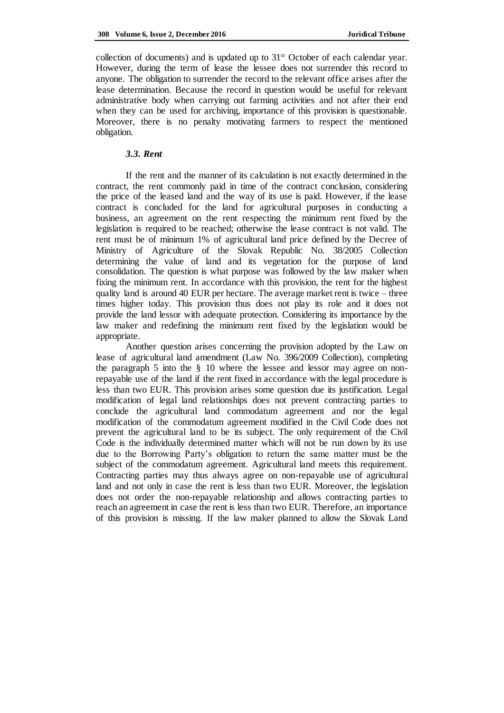collection of documents) and is updated up to  $31<sup>st</sup>$  October of each calendar year. However, during the term of lease the lessee does not surrender this record to anyone. The obligation to surrender the record to the relevant office arises after the lease determination. Because the record in question would be useful for relevant administrative body when carrying out farming activities and not after their end when they can be used for archiving, importance of this provision is questionable. Moreover, there is no penalty motivating farmers to respect the mentioned obligation.

## *3.3. Rent*

If the rent and the manner of its calculation is not exactly determined in the contract, the rent commonly paid in time of the contract conclusion, considering the price of the leased land and the way of its use is paid. However, if the lease contract is concluded for the land for agricultural purposes in conducting a business, an agreement on the rent respecting the minimum rent fixed by the legislation is required to be reached; otherwise the lease contract is not valid. The rent must be of minimum 1% of agricultural land price defined by the Decree of Ministry of Agriculture of the Slovak Republic No. 38/2005 Collection determining the value of land and its vegetation for the purpose of land consolidation. The question is what purpose was followed by the law maker when fixing the minimum rent. In accordance with this provision, the rent for the highest quality land is around 40 EUR per hectare. The average market rent is twice – three times higher today. This provision thus does not play its role and it does not provide the land lessor with adequate protection. Considering its importance by the law maker and redefining the minimum rent fixed by the legislation would be appropriate.

Another question arises concerning the provision adopted by the Law on lease of agricultural land amendment (Law No. 396/2009 Collection), completing the paragraph 5 into the § 10 where the lessee and lessor may agree on nonrepayable use of the land if the rent fixed in accordance with the legal procedure is less than two EUR. This provision arises some question due its justification. Legal modification of legal land relationships does not prevent contracting parties to conclude the agricultural land commodatum agreement and nor the legal modification of the commodatum agreement modified in the Civil Code does not prevent the agricultural land to be its subject. The only requirement of the Civil Code is the individually determined matter which will not be run down by its use due to the Borrowing Party's obligation to return the same matter must be the subject of the commodatum agreement. Agricultural land meets this requirement. Contracting parties may thus always agree on non-repayable use of agricultural land and not only in case the rent is less than two EUR. Moreover, the legislation does not order the non-repayable relationship and allows contracting parties to reach an agreement in case the rent is less than two EUR. Therefore, an importance of this provision is missing. If the law maker planned to allow the Slovak Land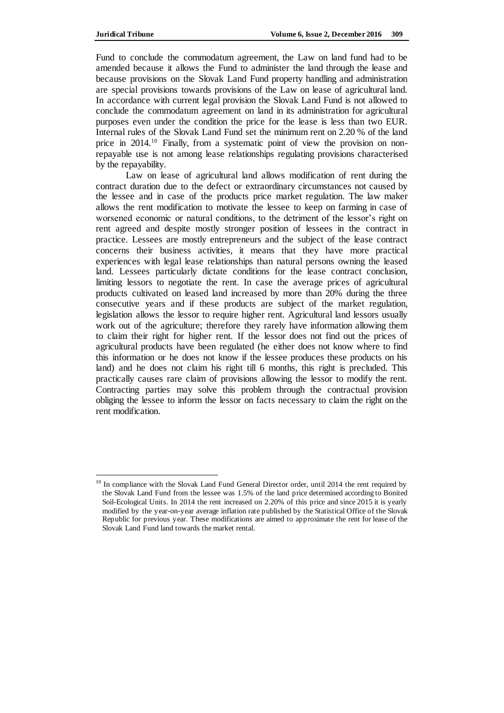Fund to conclude the commodatum agreement, the Law on land fund had to be amended because it allows the Fund to administer the land through the lease and because provisions on the Slovak Land Fund property handling and administration are special provisions towards provisions of the Law on lease of agricultural land. In accordance with current legal provision the Slovak Land Fund is not allowed to conclude the commodatum agreement on land in its administration for agricultural purposes even under the condition the price for the lease is less than two EUR. Internal rules of the Slovak Land Fund set the minimum rent on 2.20 % of the land price in 2014.<sup>10</sup> Finally, from a systematic point of view the provision on nonrepayable use is not among lease relationships regulating provisions characterised by the repayability.

Law on lease of agricultural land allows modification of rent during the contract duration due to the defect or extraordinary circumstances not caused by the lessee and in case of the products price market regulation. The law maker allows the rent modification to motivate the lessee to keep on farming in case of worsened economic or natural conditions, to the detriment of the lessor's right on rent agreed and despite mostly stronger position of lessees in the contract in practice. Lessees are mostly entrepreneurs and the subject of the lease contract concerns their business activities, it means that they have more practical experiences with legal lease relationships than natural persons owning the leased land. Lessees particularly dictate conditions for the lease contract conclusion, limiting lessors to negotiate the rent. In case the average prices of agricultural products cultivated on leased land increased by more than 20% during the three consecutive years and if these products are subject of the market regulation, legislation allows the lessor to require higher rent. Agricultural land lessors usually work out of the agriculture; therefore they rarely have information allowing them to claim their right for higher rent. If the lessor does not find out the prices of agricultural products have been regulated (he either does not know where to find this information or he does not know if the lessee produces these products on his land) and he does not claim his right till 6 months, this right is precluded. This practically causes rare claim of provisions allowing the lessor to modify the rent. Contracting parties may solve this problem through the contractual provision obliging the lessee to inform the lessor on facts necessary to claim the right on the rent modification.

<sup>&</sup>lt;sup>10</sup> In compliance with the Slovak Land Fund General Director order, until 2014 the rent required by the Slovak Land Fund from the lessee was 1.5% of the land price determined according to Bonited Soil-Ecological Units. In 2014 the rent increased on 2.20% of this price and since 2015 it is yearly modified by the year-on-year average inflation rate published by the Statistical Office of the Slovak Republic for previous year. These modifications are aimed to approximate the rent for lease of the Slovak Land Fund land towards the market rental.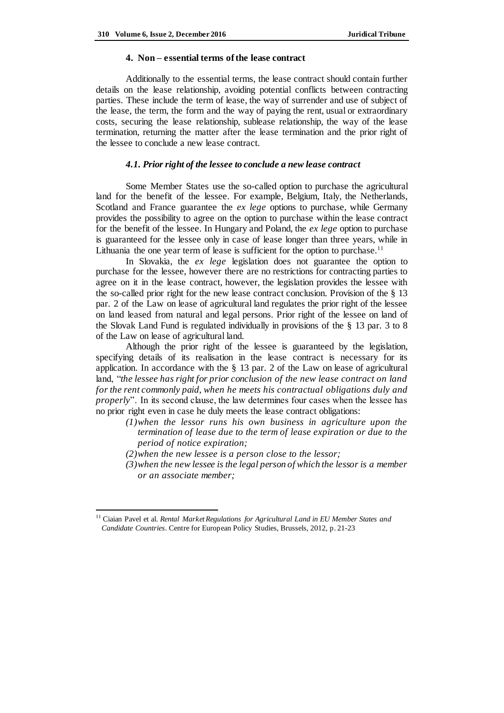#### **4. Non – essential terms of the lease contract**

Additionally to the essential terms, the lease contract should contain further details on the lease relationship, avoiding potential conflicts between contracting parties. These include the term of lease, the way of surrender and use of subject of the lease, the term, the form and the way of paying the rent, usual or extraordinary costs, securing the lease relationship, sublease relationship, the way of the lease termination, returning the matter after the lease termination and the prior right of the lessee to conclude a new lease contract.

#### *4.1. Prior right of the lessee to conclude a new lease contract*

Some Member States use the so-called option to purchase the agricultural land for the benefit of the lessee. For example, Belgium, Italy, the Netherlands, Scotland and France guarantee the *ex lege* options to purchase, while Germany provides the possibility to agree on the option to purchase within the lease contract for the benefit of the lessee. In Hungary and Poland, the *ex lege* option to purchase is guaranteed for the lessee only in case of lease longer than three years, while in Lithuania the one year term of lease is sufficient for the option to purchase.<sup>11</sup>

In Slovakia, the *ex lege* legislation does not guarantee the option to purchase for the lessee, however there are no restrictions for contracting parties to agree on it in the lease contract, however, the legislation provides the lessee with the so-called prior right for the new lease contract conclusion. Provision of the § 13 par. 2 of the Law on lease of agricultural land regulates the prior right of the lessee on land leased from natural and legal persons. Prior right of the lessee on land of the Slovak Land Fund is regulated individually in provisions of the § 13 par. 3 to 8 of the Law on lease of agricultural land.

Although the prior right of the lessee is guaranteed by the legislation, specifying details of its realisation in the lease contract is necessary for its application. In accordance with the § 13 par. 2 of the Law on lease of agricultural land, "*the lessee has right for prior conclusion of the new lease contract on land for the rent commonly paid, when he meets his contractual obligations duly and properly*". In its second clause, the law determines four cases when the lessee has no prior right even in case he duly meets the lease contract obligations:

- *(1)when the lessor runs his own business in agriculture upon the termination of lease due to the term of lease expiration or due to the period of notice expiration;*
- *(2)when the new lessee is a person close to the lessor;*

 $\overline{a}$ 

*(3)when the new lessee is the legal person of which the lessor is a member or an associate member;*

<sup>&</sup>lt;sup>11</sup> Ciaian Pavel et al. *Rental Market Regulations for Agricultural Land in EU Member States and Candidate Countries*. Centre for European Policy Studies, Brussels, 2012, p. 21-23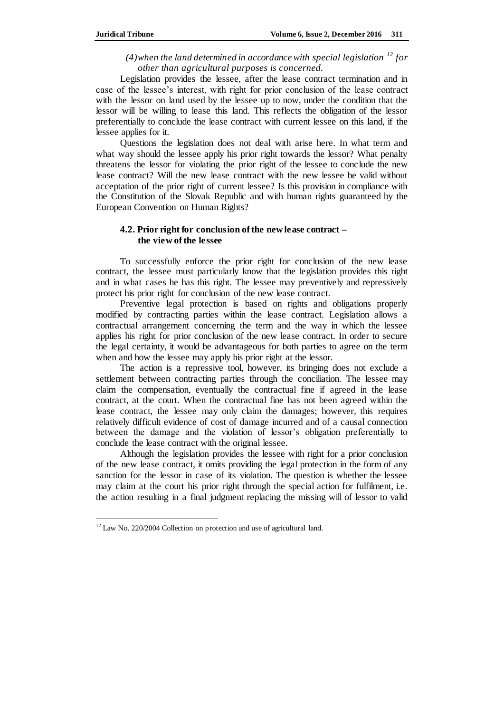# $(4)$ when the land determined in accordance with special legislation <sup>12</sup> for *other than agricultural purposes is concerned.*

Legislation provides the lessee, after the lease contract termination and in case of the lessee's interest, with right for prior conclusion of the lease contract with the lessor on land used by the lessee up to now, under the condition that the lessor will be willing to lease this land. This reflects the obligation of the lessor preferentially to conclude the lease contract with current lessee on this land, if the lessee applies for it.

Questions the legislation does not deal with arise here. In what term and what way should the lessee apply his prior right towards the lessor? What penalty threatens the lessor for violating the prior right of the lessee to conclude the new lease contract? Will the new lease contract with the new lessee be valid without acceptation of the prior right of current lessee? Is this provision in compliance with the Constitution of the Slovak Republic and with human rights guaranteed by the European Convention on Human Rights?

# **4.2. Prior right for conclusion of the new lease contract – the view of the lessee**

To successfully enforce the prior right for conclusion of the new lease contract, the lessee must particularly know that the legislation provides this right and in what cases he has this right. The lessee may preventively and repressively protect his prior right for conclusion of the new lease contract.

Preventive legal protection is based on rights and obligations properly modified by contracting parties within the lease contract. Legislation allows a contractual arrangement concerning the term and the way in which the lessee applies his right for prior conclusion of the new lease contract. In order to secure the legal certainty, it would be advantageous for both parties to agree on the term when and how the lessee may apply his prior right at the lessor.

The action is a repressive tool, however, its bringing does not exclude a settlement between contracting parties through the conciliation. The lessee may claim the compensation, eventually the contractual fine if agreed in the lease contract, at the court. When the contractual fine has not been agreed within the lease contract, the lessee may only claim the damages; however, this requires relatively difficult evidence of cost of damage incurred and of a causal connection between the damage and the violation of lessor's obligation preferentially to conclude the lease contract with the original lessee.

Although the legislation provides the lessee with right for a prior conclusion of the new lease contract, it omits providing the legal protection in the form of any sanction for the lessor in case of its violation. The question is whether the lessee may claim at the court his prior right through the special action for fulfilment, i.e. the action resulting in a final judgment replacing the missing will of lessor to valid

 $\overline{a}$ 

<sup>&</sup>lt;sup>12</sup> Law No. 220/2004 Collection on protection and use of agricultural land.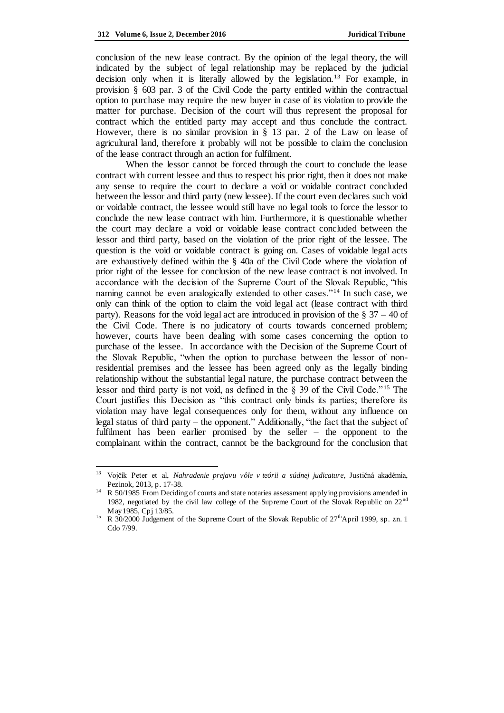conclusion of the new lease contract. By the opinion of the legal theory, the will indicated by the subject of legal relationship may be replaced by the judicial decision only when it is literally allowed by the legislation.<sup>13</sup> For example, in provision § 603 par. 3 of the Civil Code the party entitled within the contractual option to purchase may require the new buyer in case of its violation to provide the matter for purchase. Decision of the court will thus represent the proposal for contract which the entitled party may accept and thus conclude the contract. However, there is no similar provision in § 13 par. 2 of the Law on lease of agricultural land, therefore it probably will not be possible to claim the conclusion of the lease contract through an action for fulfilment.

When the lessor cannot be forced through the court to conclude the lease contract with current lessee and thus to respect his prior right, then it does not make any sense to require the court to declare a void or voidable contract concluded between the lessor and third party (new lessee). If the court even declares such void or voidable contract, the lessee would still have no legal tools to force the lessor to conclude the new lease contract with him. Furthermore, it is questionable whether the court may declare a void or voidable lease contract concluded between the lessor and third party, based on the violation of the prior right of the lessee. The question is the void or voidable contract is going on. Cases of voidable legal acts are exhaustively defined within the § 40a of the Civil Code where the violation of prior right of the lessee for conclusion of the new lease contract is not involved. In accordance with the decision of the Supreme Court of the Slovak Republic, "this naming cannot be even analogically extended to other cases."<sup>14</sup> In such case, we only can think of the option to claim the void legal act (lease contract with third party). Reasons for the void legal act are introduced in provision of the  $\S 37 - 40$  of the Civil Code. There is no judicatory of courts towards concerned problem; however, courts have been dealing with some cases concerning the option to purchase of the lessee. In accordance with the Decision of the Supreme Court of the Slovak Republic, "when the option to purchase between the lessor of nonresidential premises and the lessee has been agreed only as the legally binding relationship without the substantial legal nature, the purchase contract between the lessor and third party is not void, as defined in the  $\S$  39 of the Civil Code."<sup>15</sup> The Court justifies this Decision as "this contract only binds its parties; therefore its violation may have legal consequences only for them, without any influence on legal status of third party – the opponent." Additionally, "the fact that the subject of fulfilment has been earlier promised by the seller – the opponent to the complainant within the contract, cannot be the background for the conclusion that

<sup>13</sup> <sup>13</sup> Vojčík Peter et al, *Nahradenie prejavu vôle v teórii a súdnej judicature*, Justičná akadémia, Pezinok, 2013, p. 17-38.

<sup>&</sup>lt;sup>14</sup> R 50/1985 From Deciding of courts and state notaries assessment applying provisions amended in 1982, negotiated by the civil law college of the Supreme Court of the Slovak Republic on 22<sup>nd</sup> May1985, Cpj 13/85.

<sup>&</sup>lt;sup>15</sup> R 30/2000 Judgement of the Supreme Court of the Slovak Republic of 27<sup>th</sup>April 1999, sp. zn. 1 Cdo 7/99.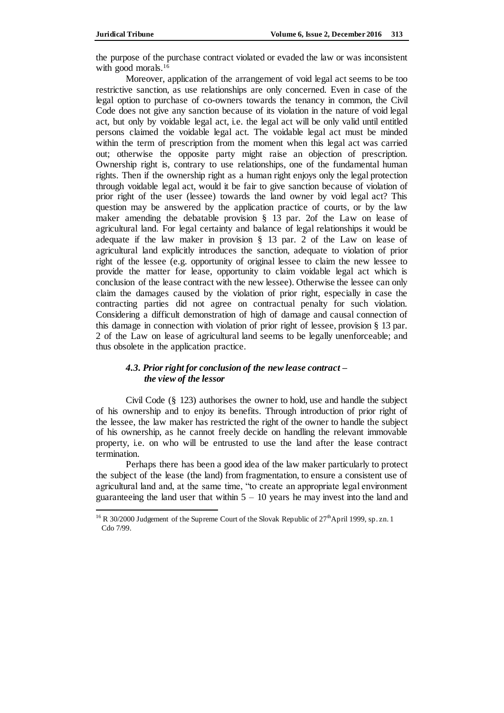the purpose of the purchase contract violated or evaded the law or was inconsistent with good morals.<sup>16</sup>

Moreover, application of the arrangement of void legal act seems to be too restrictive sanction, as use relationships are only concerned. Even in case of the legal option to purchase of co-owners towards the tenancy in common, the Civil Code does not give any sanction because of its violation in the nature of void legal act, but only by voidable legal act, i.e. the legal act will be only valid until entitled persons claimed the voidable legal act. The voidable legal act must be minded within the term of prescription from the moment when this legal act was carried out; otherwise the opposite party might raise an objection of prescription. Ownership right is, contrary to use relationships, one of the fundamental human rights. Then if the ownership right as a human right enjoys only the legal protection through voidable legal act, would it be fair to give sanction because of violation of prior right of the user (lessee) towards the land owner by void legal act? This question may be answered by the application practice of courts, or by the law maker amending the debatable provision § 13 par. 2of the Law on lease of agricultural land. For legal certainty and balance of legal relationships it would be adequate if the law maker in provision § 13 par. 2 of the Law on lease of agricultural land explicitly introduces the sanction, adequate to violation of prior right of the lessee (e.g. opportunity of original lessee to claim the new lessee to provide the matter for lease, opportunity to claim voidable legal act which is conclusion of the lease contract with the new lessee). Otherwise the lessee can only claim the damages caused by the violation of prior right, especially in case the contracting parties did not agree on contractual penalty for such violation. Considering a difficult demonstration of high of damage and causal connection of this damage in connection with violation of prior right of lessee, provision § 13 par. 2 of the Law on lease of agricultural land seems to be legally unenforceable; and thus obsolete in the application practice.

# *4.3. Prior right for conclusion of the new lease contract – the view of the lessor*

Civil Code (§ 123) authorises the owner to hold, use and handle the subject of his ownership and to enjoy its benefits. Through introduction of prior right of the lessee, the law maker has restricted the right of the owner to handle the subject of his ownership, as he cannot freely decide on handling the relevant immovable property, i.e. on who will be entrusted to use the land after the lease contract termination.

Perhaps there has been a good idea of the law maker particularly to protect the subject of the lease (the land) from fragmentation, to ensure a consistent use of agricultural land and, at the same time, "to create an appropriate legal environment guaranteeing the land user that within  $5 - 10$  years he may invest into the land and

<sup>&</sup>lt;sup>16</sup> R 30/2000 Judgement of the Supreme Court of the Slovak Republic of  $27<sup>th</sup>$ April 1999, sp. zn. 1 Cdo 7/99.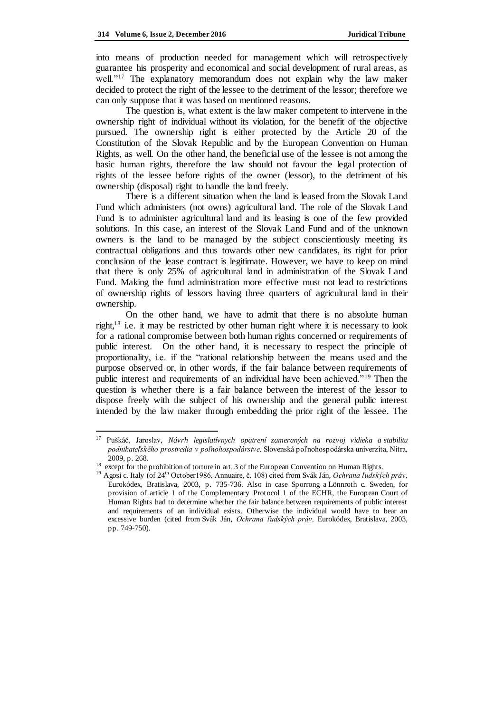into means of production needed for management which will retrospectively guarantee his prosperity and economical and social development of rural areas, as well."<sup>17</sup> The explanatory memorandum does not explain why the law maker decided to protect the right of the lessee to the detriment of the lessor; therefore we can only suppose that it was based on mentioned reasons.

The question is, what extent is the law maker competent to intervene in the ownership right of individual without its violation, for the benefit of the objective pursued. The ownership right is either protected by the Article 20 of the Constitution of the Slovak Republic and by the European Convention on Human Rights, as well. On the other hand, the beneficial use of the lessee is not among the basic human rights, therefore the law should not favour the legal protection of rights of the lessee before rights of the owner (lessor), to the detriment of his ownership (disposal) right to handle the land freely.

There is a different situation when the land is leased from the Slovak Land Fund which administers (not owns) agricultural land. The role of the Slovak Land Fund is to administer agricultural land and its leasing is one of the few provided solutions. In this case, an interest of the Slovak Land Fund and of the unknown owners is the land to be managed by the subject conscientiously meeting its contractual obligations and thus towards other new candidates, its right for prior conclusion of the lease contract is legitimate. However, we have to keep on mind that there is only 25% of agricultural land in administration of the Slovak Land Fund. Making the fund administration more effective must not lead to restrictions of ownership rights of lessors having three quarters of agricultural land in their ownership.

On the other hand, we have to admit that there is no absolute human right, $18$  i.e. it may be restricted by other human right where it is necessary to look for a rational compromise between both human rights concerned or requirements of public interest. On the other hand, it is necessary to respect the principle of proportionality, i.e. if the "rational relationship between the means used and the purpose observed or, in other words, if the fair balance between requirements of public interest and requirements of an individual have been achieved."<sup>19</sup> Then the question is whether there is a fair balance between the interest of the lessor to dispose freely with the subject of his ownership and the general public interest intended by the law maker through embedding the prior right of the lessee. The

<sup>17</sup> Puškáč, Jaroslav, *Návrh legislatívnych opatrení zameraných na rozvoj vidieka a stabilitu podnikateľského prostredia v poľnohospodárstve,* Slovenská poľnohospodárska univerzita, Nitra, 2009, p. 268.

<sup>&</sup>lt;sup>18</sup> except for the prohibition of torture in art. 3 of the European Convention on Human Rights.

<sup>&</sup>lt;sup>19</sup> Agosi c. Italy (of 24<sup>th</sup> October1986, Annuaire, č. 108) cited from Svák Ján, *Ochrana ľudských práv*, Eurokódex, Bratislava, 2003, p. 735-736. Also in case Sporrong a Lönnroth c. Sweden, for provision of article 1 of the Complementary Protocol 1 of the ECHR, the European Court of Human Rights had to determine whether the fair balance between requirements of public interest and requirements of an individual exists. Otherwise the individual would have to bear an excessive burden (cited from Svák Ján, *Ochrana ľudských práv,* Eurokódex, Bratislava, 2003, pp. 749-750).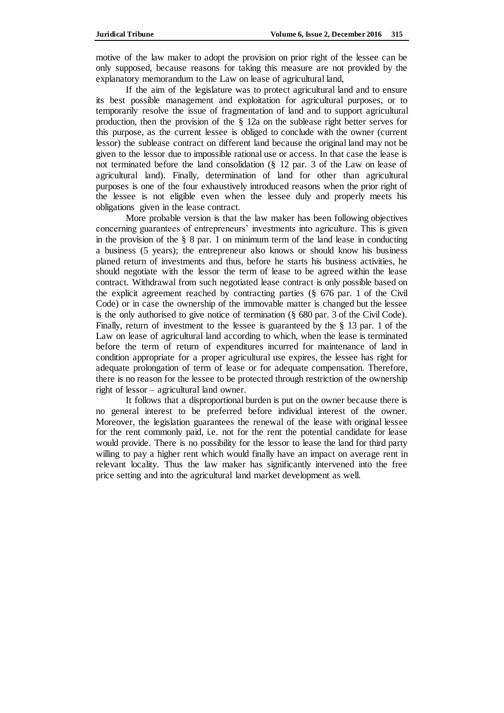motive of the law maker to adopt the provision on prior right of the lessee can be only supposed, because reasons for taking this measure are not provided by the explanatory memorandum to the Law on lease of agricultural land,

If the aim of the legislature was to protect agricultural land and to ensure its best possible management and exploitation for agricultural purposes, or to temporarily resolve the issue of fragmentation of land and to support agricultural production, then the provision of the § 12a on the sublease right better serves for this purpose, as the current lessee is obliged to conclude with the owner (current lessor) the sublease contract on different land because the original land may not be given to the lessor due to impossible rational use or access. In that case the lease is not terminated before the land consolidation (§ 12 par. 3 of the Law on lease of agricultural land). Finally, determination of land for other than agricultural purposes is one of the four exhaustively introduced reasons when the prior right of the lessee is not eligible even when the lessee duly and properly meets his obligations given in the lease contract.

More probable version is that the law maker has been following objectives concerning guarantees of entrepreneurs' investments into agriculture. This is given in the provision of the  $\S$  8 par. 1 on minimum term of the land lease in conducting a business (5 years); the entrepreneur also knows or should know his business planed return of investments and thus, before he starts his business activities, he should negotiate with the lessor the term of lease to be agreed within the lease contract. Withdrawal from such negotiated lease contract is only possible based on the explicit agreement reached by contracting parties (§ 676 par. 1 of the Civil Code) or in case the ownership of the immovable matter is changed but the lessee is the only authorised to give notice of termination (§ 680 par. 3 of the Civil Code). Finally, return of investment to the lessee is guaranteed by the § 13 par. 1 of the Law on lease of agricultural land according to which, when the lease is terminated before the term of return of expenditures incurred for maintenance of land in condition appropriate for a proper agricultural use expires, the lessee has right for adequate prolongation of term of lease or for adequate compensation. Therefore, there is no reason for the lessee to be protected through restriction of the ownership right of lessor – agricultural land owner.

It follows that a disproportional burden is put on the owner because there is no general interest to be preferred before individual interest of the owner. Moreover, the legislation guarantees the renewal of the lease with original lessee for the rent commonly paid, i.e. not for the rent the potential candidate for lease would provide. There is no possibility for the lessor to lease the land for third party willing to pay a higher rent which would finally have an impact on average rent in relevant locality. Thus the law maker has significantly intervened into the free price setting and into the agricultural land market development as well.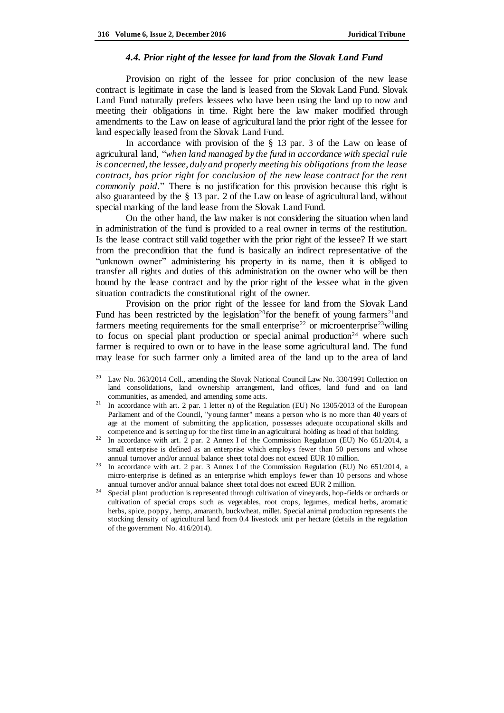#### *4.4. Prior right of the lessee for land from the Slovak Land Fund*

Provision on right of the lessee for prior conclusion of the new lease contract is legitimate in case the land is leased from the Slovak Land Fund. Slovak Land Fund naturally prefers lessees who have been using the land up to now and meeting their obligations in time. Right here the law maker modified through amendments to the Law on lease of agricultural land the prior right of the lessee for land especially leased from the Slovak Land Fund.

In accordance with provision of the § 13 par. 3 of the Law on lease of agricultural land, "*when land managed by the fund in accordance with special rule is concerned, the lessee, duly and properly meeting his obligations from the lease contract, has prior right for conclusion of the new lease contract for the rent commonly paid.*" There is no justification for this provision because this right is also guaranteed by the § 13 par. 2 of the Law on lease of agricultural land, without special marking of the land lease from the Slovak Land Fund.

On the other hand, the law maker is not considering the situation when land in administration of the fund is provided to a real owner in terms of the restitution. Is the lease contract still valid together with the prior right of the lessee? If we start from the precondition that the fund is basically an indirect representative of the "unknown owner" administering his property in its name, then it is obliged to transfer all rights and duties of this administration on the owner who will be then bound by the lease contract and by the prior right of the lessee what in the given situation contradicts the constitutional right of the owner.

Provision on the prior right of the lessee for land from the Slovak Land Fund has been restricted by the legislation<sup>20</sup>for the benefit of young farmers<sup>21</sup>and farmers meeting requirements for the small enterprise<sup>22</sup> or microenterprise<sup>23</sup> willing to focus on special plant production or special animal production<sup>24</sup> where such farmer is required to own or to have in the lease some agricultural land. The fund may lease for such farmer only a limited area of the land up to the area of land

Law No. 363/2014 Coll., amending the Slovak National Council Law No. 330/1991 Collection on land consolidations, land ownership arrangement, land offices, land fund and on land communities, as amended, and amending some acts.

<sup>&</sup>lt;sup>21</sup> In accordance with art. 2 par. 1 letter n) of the Regulation (EU) No 1305/2013 of the European Parliament and of the Council, "young farmer" means a person who is no more than 40 years of age at the moment of submitting the application, possesses adequate occupational skills and competence and is setting up for the first time in an agricultural holding as head of that holding.

<sup>&</sup>lt;sup>22</sup> In accordance with art. 2 par. 2 Annex I of the Commission Regulation (EU) No 651/2014, a small enterprise is defined as an enterprise which employs fewer than 50 persons and whose annual turnover and/or annual balance sheet total does not exceed EUR 10 million.

<sup>&</sup>lt;sup>23</sup> In accordance with art. 2 par. 3 Annex I of the Commission Regulation (EU) No 651/2014, a micro-enterprise is defined as an enterprise which employs fewer than 10 persons and whose annual turnover and/or annual balance sheet total does not exceed EUR 2 million.

<sup>24</sup> Special plant production is represented through cultivation of vineyards, hop-fields or orchards or cultivation of special crops such as vegetables, root crops, legumes, medical herbs, aromatic herbs, spice, poppy, hemp, amaranth, buckwheat, millet. Special animal production represents the stocking density of agricultural land from 0.4 livestock unit per hectare (details in the regulation of the government No. 416/2014).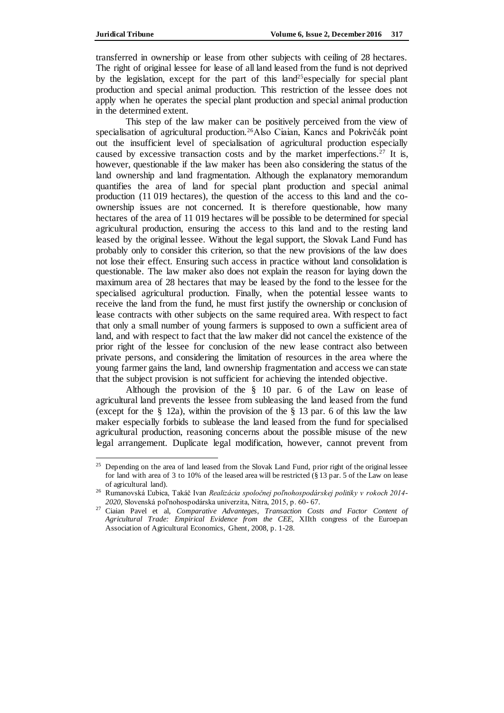transferred in ownership or lease from other subjects with ceiling of 28 hectares. The right of original lessee for lease of all land leased from the fund is not deprived by the legislation, except for the part of this land<sup>25</sup>especially for special plant production and special animal production. This restriction of the lessee does not apply when he operates the special plant production and special animal production in the determined extent.

This step of the law maker can be positively perceived from the view of specialisation of agricultural production.<sup>26</sup>Also Ciaian, Kancs and Pokrivčák point out the insufficient level of specialisation of agricultural production especially caused by excessive transaction costs and by the market imperfections.<sup>27</sup> It is, however, questionable if the law maker has been also considering the status of the land ownership and land fragmentation. Although the explanatory memorandum quantifies the area of land for special plant production and special animal production (11 019 hectares), the question of the access to this land and the coownership issues are not concerned. It is therefore questionable, how many hectares of the area of 11 019 hectares will be possible to be determined for special agricultural production, ensuring the access to this land and to the resting land leased by the original lessee. Without the legal support, the Slovak Land Fund has probably only to consider this criterion, so that the new provisions of the law does not lose their effect. Ensuring such access in practice without land consolidation is questionable. The law maker also does not explain the reason for laying down the maximum area of 28 hectares that may be leased by the fond to the lessee for the specialised agricultural production. Finally, when the potential lessee wants to receive the land from the fund, he must first justify the ownership or conclusion of lease contracts with other subjects on the same required area. With respect to fact that only a small number of young farmers is supposed to own a sufficient area of land, and with respect to fact that the law maker did not cancel the existence of the prior right of the lessee for conclusion of the new lease contract also between private persons, and considering the limitation of resources in the area where the young farmer gains the land, land ownership fragmentation and access we can state that the subject provision is not sufficient for achieving the intended objective.

Although the provision of the § 10 par. 6 of the Law on lease of agricultural land prevents the lessee from subleasing the land leased from the fund (except for the § 12a), within the provision of the § 13 par. 6 of this law the law maker especially forbids to sublease the land leased from the fund for specialised agricultural production, reasoning concerns about the possible misuse of the new legal arrangement. Duplicate legal modification, however, cannot prevent from

 $\overline{a}$ <sup>25</sup> Depending on the area of land leased from the Slovak Land Fund, prior right of the original lessee for land with area of 3 to 10% of the leased area will be restricted (§ 13 par. 5 of the Law on lease of agricultural land).

<sup>26</sup> Rumanovská Ľubica, Takáč Ivan *Realizácia spoločnej poľnohospodárskej politiky v rokoch 2014- 2020,* Slovenská poľnohospodárska univerzita, Nitra, 2015, p. 60- 67.

<sup>27</sup> Ciaian Pavel et al, *Comparative Advanteges, Transaction Costs and Factor Content of Agricultural Trade: Empirical Evidence from the CEE,* XIIth congress of the Euroepan Association of Agricultural Economics, Ghent, 2008, p. 1-28.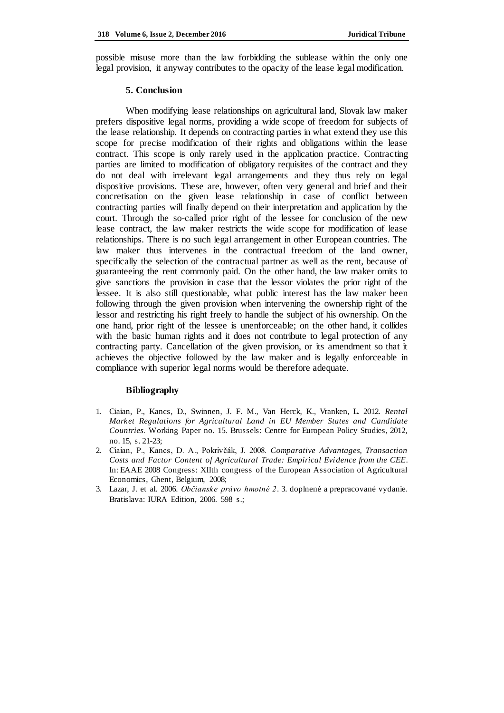possible misuse more than the law forbidding the sublease within the only one legal provision, it anyway contributes to the opacity of the lease legal modification.

### **5. Conclusion**

When modifying lease relationships on agricultural land, Slovak law maker prefers dispositive legal norms, providing a wide scope of freedom for subjects of the lease relationship. It depends on contracting parties in what extend they use this scope for precise modification of their rights and obligations within the lease contract. This scope is only rarely used in the application practice. Contracting parties are limited to modification of obligatory requisites of the contract and they do not deal with irrelevant legal arrangements and they thus rely on legal dispositive provisions. These are, however, often very general and brief and their concretisation on the given lease relationship in case of conflict between contracting parties will finally depend on their interpretation and application by the court. Through the so-called prior right of the lessee for conclusion of the new lease contract, the law maker restricts the wide scope for modification of lease relationships. There is no such legal arrangement in other European countries. The law maker thus intervenes in the contractual freedom of the land owner, specifically the selection of the contractual partner as well as the rent, because of guaranteeing the rent commonly paid. On the other hand, the law maker omits to give sanctions the provision in case that the lessor violates the prior right of the lessee. It is also still questionable, what public interest has the law maker been following through the given provision when intervening the ownership right of the lessor and restricting his right freely to handle the subject of his ownership. On the one hand, prior right of the lessee is unenforceable; on the other hand, it collides with the basic human rights and it does not contribute to legal protection of any contracting party. Cancellation of the given provision, or its amendment so that it achieves the objective followed by the law maker and is legally enforceable in compliance with superior legal norms would be therefore adequate.

### **Bibliography**

- 1. Ciaian, P., Kancs, D., Swinnen, J. F. M., Van Herck, K., Vranken, L. 2012. *Rental Market Regulations for Agricultural Land in EU Member States and Candidate Countries.* Working Paper no. 15. Brussels: Centre for European Policy Studies, 2012, no. 15, s. 21-23;
- 2. Ciaian, P., Kancs, D. A., Pokrivčák, J. 2008. *Comparative Advantages, Transaction Costs and Factor Content of Agricultural Trade: Empirical Evidence from the CEE*. In: EAAE 2008 Congress: XIIth congress of the European Association of Agricultural Economics, Ghent, Belgium, 2008;
- 3. Lazar, J. et al. 2006. *Občianske právo hmotné 2*. 3. doplnené a prepracované vydanie. Bratislava: IURA Edition, 2006. 598 s.;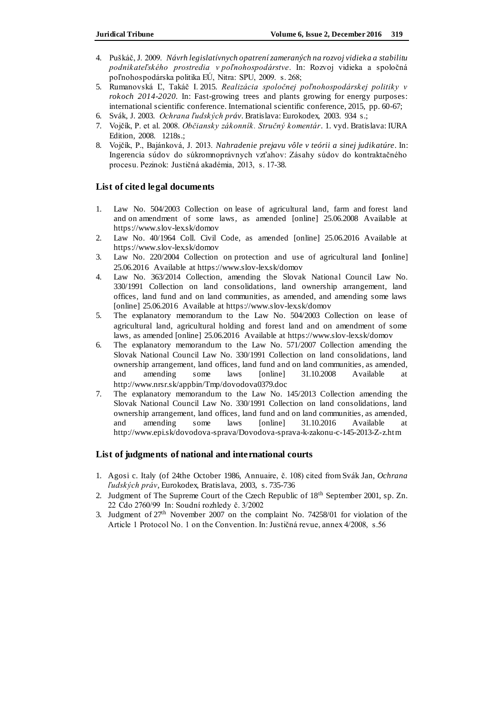- 4. Puškáč, J. 2009. *Návrh legislatívnych opatrení zameraných na rozvoj vidieka a stabilitu podnikateľského prostredia v poľnohospodárstve*. In: Rozvoj vidieka a spoločná poľnohospodárska politika EÚ, Nitra: SPU, 2009. s. 268;
- 5. Rumanovská Ľ, Takáč I. 2015. *Realizácia spoločnej poľnohospodárskej politiky v rokoch 2014-2020.* In: Fast-growing trees and plants growing for energy purposes: international scientific conference. International scientific conference, 2015, pp. 60-67;
- 6. Svák, J. 2003. *Ochrana ľudských práv*. Bratislava: Eurokodex, 2003. 934 s.;
- 7. Vojčík, P. et al. 2008. *Občiansky zákonník. Stručný komentár*. 1. vyd. Bratislava: IURA Edition, 2008. 1218s.;
- 8. Vojčík, P., Bajánková, J. 2013. *Nahradenie prejavu vôle v teórii a sinej judikatúre*. In: Ingerencia súdov do súkromnoprávnych vzťahov: Zásahy súdov do kontraktačného procesu. Pezinok: Justičná akadémia, 2013, s. 17-38.

### **List of cited legal documents**

- 1. Law No. 504/2003 Collection on lease of agricultural land, farm and forest land and on amendment of some laws, as amended [online] 25.06.2008 Available at <https://www.slov-lex.sk/domov>
- 2. Law No. 40/1964 Coll. Civil Code, as amended [online] 25.06.2016 Available at <https://www.slov-lex.sk/domov>
- 3. Law No. 220/2004 Collection on protection and use of agricultural land **[**online] 25.06.2016 Available at<https://www.slov-lex.sk/domov>
- 4. Law No. 363/2014 Collection, amending the Slovak National Council Law No. 330/1991 Collection on land consolidations, land ownership arrangement, land offices, land fund and on land communities, as amended, and amending some laws [online] 25.06.2016 Available at<https://www.slov-lex.sk/domov>
- 5. The explanatory memorandum to the Law No. 504/2003 Collection on lease of agricultural land, agricultural holding and forest land and on amendment of some laws, as amended [online] 25.06.2016 Available at<https://www.slov-lex.sk/domov>
- 6. The explanatory memorandum to the Law No. 571/2007 Collection amending the Slovak National Council Law No. 330/1991 Collection on land consolidations, land ownership arrangement, land offices, land fund and on land communities, as amended, and amending some laws [online] 31.10.2008 Available at <http://www.nrsr.sk/appbin/Tmp/dovodova0379.doc>
- 7. The explanatory memorandum to the Law No. 145/2013 Collection amending the Slovak National Council Law No. 330/1991 Collection on land consolidations, land ownership arrangement, land offices, land fund and on land communities, as amended, and amending some laws [online] 31.10.2016 Available at <http://www.epi.sk/dovodova-sprava/Dovodova-sprava-k-zakonu-c-145-2013-Z-z.htm>

### **List of judgments of national and international courts**

- 1. Agosi c. Italy (of 24the October 1986, Annuaire, č. 108) cited from Svák Jan, *Ochrana ľudských práv*, Eurokodex, Bratislava, 2003, s. 735-736
- 2. Judgment of The Supreme Court of the Czech Republic of 18th September 2001, sp. Zn. 22 Cdo 2760/99 In: Soudní rozhledy č. 3/2002
- 3. Judgment of 27th November 2007 on the complaint No. 74258/01 for violation of the Article 1 Protocol No. 1 on the Convention. In: Justičná revue, annex 4/2008, s.56